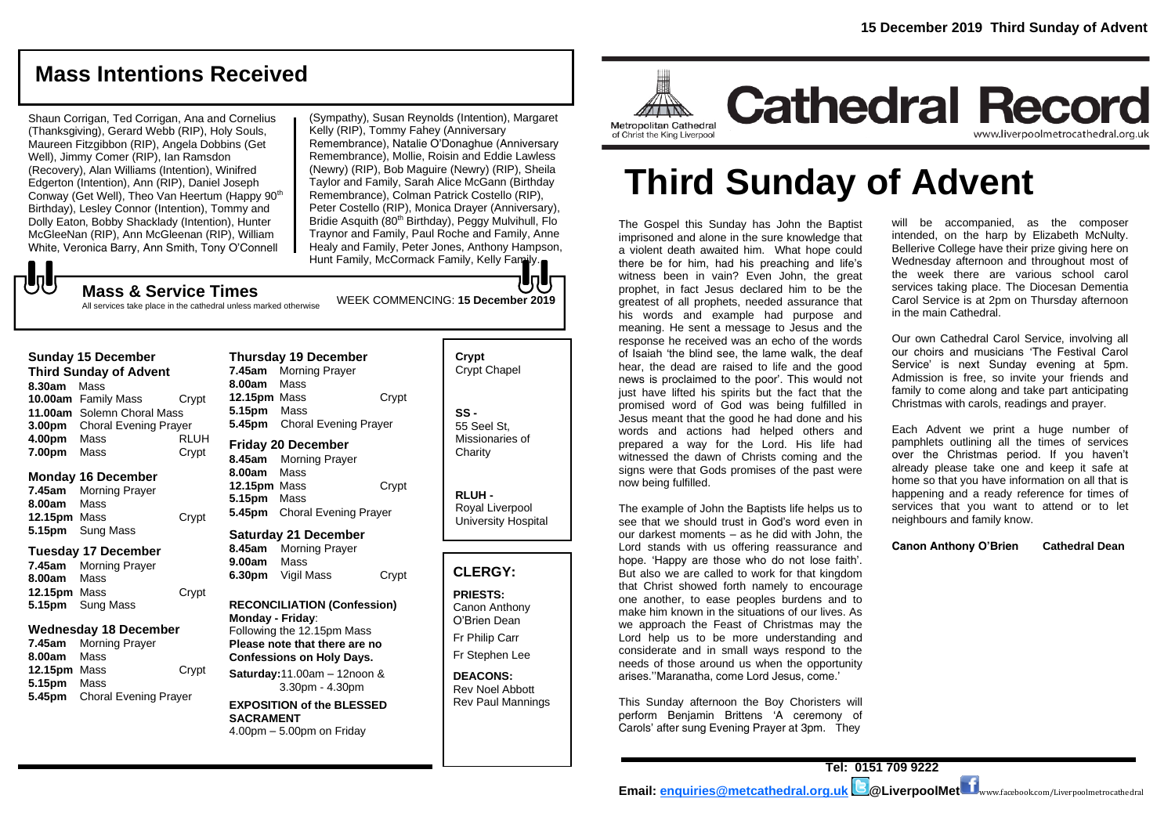# **Mass Intentions Received**

Shaun Corrigan, Ted Corrigan, Ana and Cornelius (Thanksgiving), Gerard Webb (RIP), Holy Souls, Maureen Fitzgibbon (RIP), Angela Dobbins (Get Well), Jimmy Comer (RIP), Ian Ramsdon (Recovery), Alan Williams (Intention), Winifred Edgerton (Intention), Ann (RIP), Daniel Joseph Conway (Get Well), Theo Van Heertum (Happy 90th Birthday), Lesley Connor (Intention), Tommy and Dolly Eaton, Bobby Shacklady (Intention), Hunter McGleeNan (RIP), Ann McGleenan (RIP), William White, Veronica Barry, Ann Smith, Tony O'Connell

(Sympathy), Susan Reynolds (Intention), Margaret Kelly (RIP), Tommy Fahey (Anniversary

Remembrance), Natalie O'Donaghue (Anniversary Remembrance), Mollie, Roisin and Eddie Lawless (Newry) (RIP), Bob Maguire (Newry) (RIP), Sheila Taylor and Family, Sarah Alice McGann (Birthday Remembrance), Colman Patrick Costello (RIP), Peter Costello (RIP), Monica Drayer (Anniversary), Bridie Asquith (80<sup>th</sup> Birthday), Peggy Mulvihull, Flo Traynor and Family, Paul Roche and Family, Anne Healy and Family, Peter Jones, Anthony Hampson, Hunt Family, McCormack Family, Kelly Family.

WEEK COMMENCING: **15 December 2019**

JJ

# **Mass & Service Times**

All services take place in the cathedral unless marked otherwise

#### **Sunday 15 December**

**Third Sunday of Advent 8.30am** Mass **10.00am** Family Mass Crypt **11.00am** Solemn Choral Mass **3.00pm** Choral Evening Prayer **4.00pm** Mass RLUH **7.00pm** Mass Crypt

#### **Monday 16 December**

**7.45am** Morning Prayer **8.00am** Mass **12.15pm** Mass Crypt **5.15pm** Sung Mass

#### **Tuesday 17 December**

**7.45am** Morning Prayer **8.00am** Mass **12.15pm** Mass Crypt **5.15pm** Sung Mass

#### **Wednesday 18 December**

**7.45am** Morning Prayer **8.00am** Mass **12.15pm** Mass Crypt **5.15pm** Mass **5.45pm** Choral Evening Prayer

**Thursday 19 December 7.45am** Morning Prayer **8.00am** Mass **12.15pm** Mass Crypt **5.15pm** Mass **5.45pm** Choral Evening Prayer

**Friday 20 December 8.45am** Morning Prayer **8.00am** Mass **12.15pm** Mass Crypt **5.15pm** Mass **5.45pm** Choral Evening Prayer

#### **Saturday 21 December 8.45am** Morning Prayer

**9.00am** Mass **6.30pm** Vigil Mass Crypt

**RECONCILIATION (Confession) Monday - Friday**: Following the 12.15pm Mass **Please note that there are no Confessions on Holy Days. Saturday:**11.00am – 12noon & 3.30pm - 4.30pm

#### **EXPOSITION of the BLESSED SACRAMENT** 4.00pm – 5.00pm on Friday

**Crypt**  Crypt Chapel **SS -** 55 Seel St, Missionaries of **Charity** 

> **RLUH -** Royal Liverpool University Hospital

### **CLERGY:**

**PRIESTS:** Canon Anthony O'Brien *Dean*

Fr Philip Carr

Fr Stephen Lee

#### **DEACONS:** Rev Noel Abbott Rev Paul Mannings



Metropolitan Cathedral of Christ the King Liverpool

# **Third Sunday of Advent**

The Gospel this Sunday has John the Baptist imprisoned and alone in the sure knowledge that a violent death awaited him. What hope could there be for him, had his preaching and life's witness been in vain? Even John, the great prophet, in fact Jesus declared him to be the greatest of all prophets, needed assurance that his words and example had purpose and meaning. He sent a message to Jesus and the response he received was an echo of the words of Isaiah 'the blind see, the lame walk, the deaf hear, the dead are raised to life and the good news is proclaimed to the poor'. This would not just have lifted his spirits but the fact that the promised word of God was being fulfilled in Jesus meant that the good he had done and his words and actions had helped others and prepared a way for the Lord. His life had witnessed the dawn of Christs coming and the signs were that Gods promises of the past were now being fulfilled.

The example of John the Baptists life helps us to see that we should trust in God's word even in our darkest moments – as he did with John, the Lord stands with us offering reassurance and hope. 'Happy are those who do not lose faith'. But also we are called to work for that kingdom that Christ showed forth namely to encourage one another, to ease peoples burdens and to make him known in the situations of our lives. As we approach the Feast of Christmas may the Lord help us to be more understanding and considerate and in small ways respond to the needs of those around us when the opportunity arises.''Maranatha, come Lord Jesus, come.'

This Sunday afternoon the Boy Choristers will perform Benjamin Brittens 'A ceremony of Carols' after sung Evening Prayer at 3pm. They

will be accompanied, as the composer intended, on the harp by Elizabeth McNulty. Bellerive College have their prize giving here on Wednesday afternoon and throughout most of the week there are various school carol services taking place. The Diocesan Dementia Carol Service is at 2pm on Thursday afternoon in the main Cathedral.

Our own Cathedral Carol Service, involving all our choirs and musicians 'The Festival Carol Service' is next Sunday evening at 5pm. Admission is free, so invite your friends and family to come along and take part anticipating Christmas with carols, readings and prayer.

Each Advent we print a huge number of pamphlets outlining all the times of services over the Christmas period. If you haven't already please take one and keep it safe at home so that you have information on all that is happening and a ready reference for times of services that you want to attend or to let neighbours and family know.

**Canon Anthony O'Brien Cathedral Dean**

**Tel: 0151 709 9222 Email: [enquiries@metcathedral.org.uk](mailto:enquiries@metcathedral.org.uk) @LiverpoolMet** www.facebook.com/Liverpoolmetrocathedral